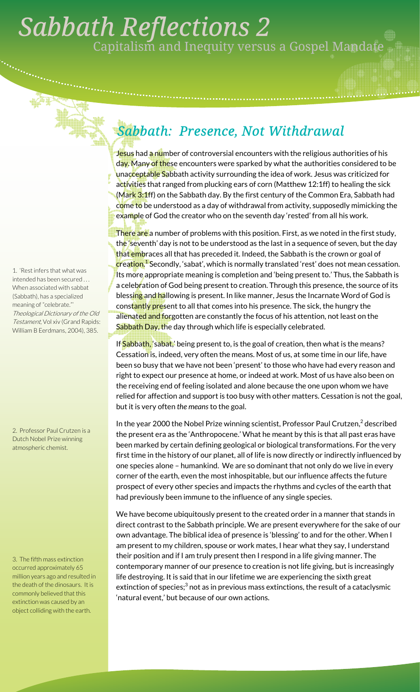## . *Sabbath Reflections 2*  Capitalism and Inequity versus a Gospel Mandate

## *Sabbath: Presence, Not Withdrawal*

Jesus had a number of controversial encounters with the religious authorities of his day. Many of these encounters were sparked by what the authorities considered to be unacceptable Sabbath activity surrounding the idea of work. Jesus was criticized for activities that ranged from plucking ears of corn (Matthew 12:1ff) to healing the sick (Mark 3:1ff) on the Sabbath day. By the first century of the Common Era, Sabbath had come to be understood as a day of withdrawal from activity, supposedly mimicking the example of God the creator who on the seventh day 'rested' from all his work.

There are a number of problems with this position. First, as we noted in the first study, the 'seventh' day is not to be understood as the last in a sequence of seven, but the day that embraces all that has preceded it. Indeed, the Sabbath is the crown or goal of <mark>creation.<sup>1</sup> S</mark>econdly, 'sabat', which is normally translated 'rest' does not mean cessation. Its more appropriate meaning is completion and 'being present to.' Thus, the Sabbath is a celebration of God being present to creation. Through this presence, the source of its blessing and hallowing is present. In like manner, Jesus the Incarnate Word of God is cons<mark>tantly pre</mark>sent to all that comes into his presence. The sick, the hungry the alienated and forgotten are constantly the focus of his attention, not least on the Sabbath Day, the day through which life is especially celebrated.

If Sabbath, 'sabat,' being present to, is the goal of creation, then what is the means? Cessation is, indeed, very often the means. Most of us, at some time in our life, have been so busy that we have not been 'present' to those who have had every reason and right to expect our presence at home, or indeed at work. Most of us have also been on the receiving end of feeling isolated and alone because the one upon whom we have relied for affection and support is too busy with other matters. Cessation is not the goal, but it is very often *the means* to the goal.

In the year 2000 the Nobel Prize winning scientist, Professor Paul Crutzen, $^2$  described the present era as the 'Anthropocene.' What he meant by this is that all past eras have been marked by certain defining geological or biological transformations. For the very first time in the history of our planet, all of life is now directly or indirectly influenced by one species alone – humankind. We are so dominant that not only do we live in every corner of the earth, even the most inhospitable, but our influence affects the future prospect of every other species and impacts the rhythms and cycles of the earth that had previously been immune to the influence of any single species.

We have become ubiquitously present to the created order in a manner that stands in direct contrast to the Sabbath principle. We are present everywhere for the sake of our own advantage. The biblical idea of presence is 'blessing' to and for the other. When I am present to my children, spouse or work mates, I hear what they say, I understand their position and if I am truly present then I respond in a life giving manner. The contemporary manner of our presence to creation is not life giving, but is increasingly life destroying. It is said that in our lifetime we are experiencing the sixth great extinction of species; $^3$  not as in previous mass extinctions, the result of a cataclysmic 'natural event,' but because of our own actions.

1. 'Rest infers that what was intended has been secured . . . When associated with sabbat (Sabbath), has a specialized meaning of "celebrate."' Theological Dictionary of the Old Testament, Vol xiv (Grand Rapids: William B Eerdmans, 2004), 385.

2. Professor Paul Crutzen is a Dutch Nobel Prize winning atmospheric chemist.

3. The fifth mass extinction occurred approximately 65 million years ago and resulted in the death of the dinosaurs. It is commonly believed that this extinction was caused by an object colliding with the earth.